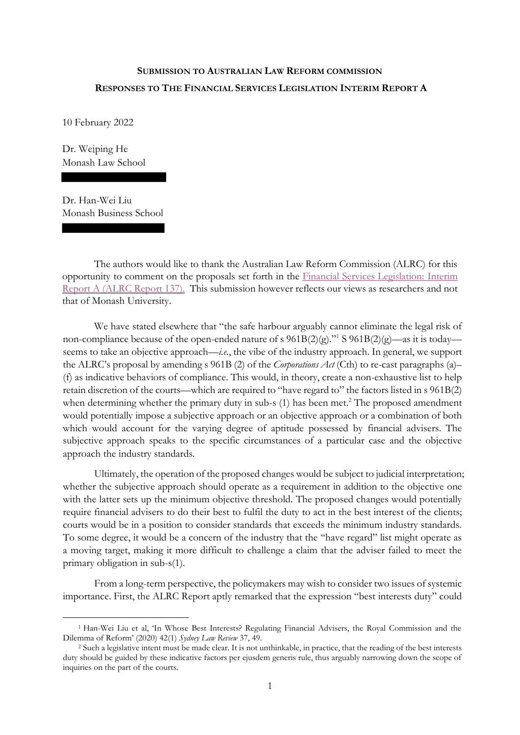## **SUBMISSION TO AUSTRALIAN LAW REFORM COMMISSION RESPONSES TO THE FINANCIAL SERVICES LEGISLATION INTERIM REPORT A**

10 February 2022

Dr. Weiping He Monash Law School

Dr. Han-Wei Liu Monash Business School

<u>.</u>

The authors would like to thank the Australian Law Reform Commission (ALRC) for this opportunity to comment on the proposals set forth in the Financial Services Legislation: Interim Report A (ALRC Report 137). This submission however reflects our views as researchers and not that of Monash University.

We have stated elsewhere that "the safe harbour arguably cannot eliminate the legal risk of non-compliance because of the open-ended nature of s  $961B(2)(g)$ ." S  $961B(2)(g)$ —as it is today seems to take an objective approach—*i.e.*, the vibe of the industry approach. In general, we support the ALRC's proposal by amending s 961B (2) of the *Corporations Act* (Cth) to re-cast paragraphs (a)– (f) as indicative behaviors of compliance. This would, in theory, create a non-exhaustive list to help retain discretion of the courts—which are required to "have regard to" the factors listed in s 961B(2) when determining whether the primary duty in sub-s  $(1)$  has been met.<sup>2</sup> The proposed amendment would potentially impose a subjective approach or an objective approach or a combination of both which would account for the varying degree of aptitude possessed by financial advisers. The subjective approach speaks to the specific circumstances of a particular case and the objective approach the industry standards.

Ultimately, the operation of the proposed changes would be subject to judicial interpretation; whether the subjective approach should operate as a requirement in addition to the objective one with the latter sets up the minimum objective threshold. The proposed changes would potentially require financial advisers to do their best to fulfil the duty to act in the best interest of the clients; courts would be in a position to consider standards that exceeds the minimum industry standards. To some degree, it would be a concern of the industry that the "have regard" list might operate as a moving target, making it more difficult to challenge a claim that the adviser failed to meet the primary obligation in sub-s(1).

From a long-term perspective, the policymakers may wish to consider two issues of systemic importance. First, the ALRC Report aptly remarked that the expression "best interests duty" could

<sup>1</sup> Han-Wei Liu et al, 'In Whose Best Interests? Regulating Financial Advisers, the Royal Commission and the Dilemma of Reform' (2020) 42(1) *Sydney Law Review* 37, 49.

<sup>2</sup> Such a legislative intent must be made clear. It is not unthinkable, in practice, that the reading of the best interests duty should be guided by these indicative factors per ejusdem generis rule, thus arguably narrowing down the scope of inquiries on the part of the courts.